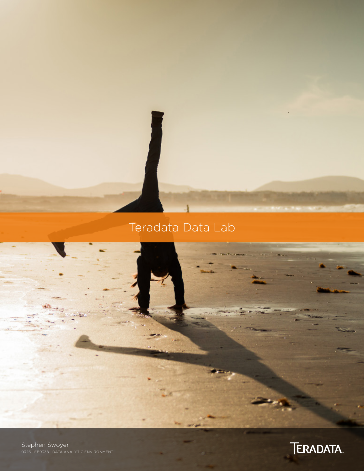# Teradata Data Lab

Stephen Swoyer 03.16 EB9338 DATA ANALYTIC ENVIRONMENT

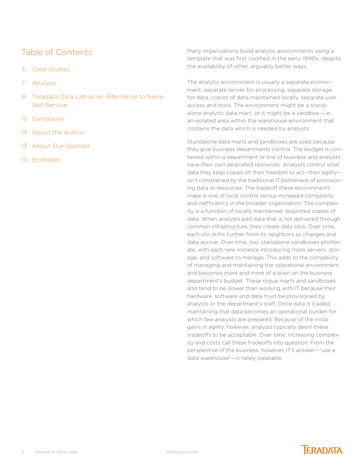# Table of Contents

- 3 [Case Studies](#page-2-0)
- 7 [Analysis](#page-6-0)
- 9 [Teradata Data Lab as an Alternative to Naive](#page-8-0)  [Self-Service](#page-8-0)
- 13 [Conclusion](#page-12-0)
- 13 [About the Author](#page-12-0)
- 13 [About Our Sponsor](#page-12-0)
- 13 [Endnotes](#page-12-0)

Many organizations build analytic environments using a template that was first codified in the early-1990s, despite the availability of other, arguably better ways.

The analytic environment is usually a separate environment: separate server for processing, separate storage for data, copies of data maintained locally, separate user access and tools. The environment might be a standalone analytic data mart, or it might be a sandbox—i.e., an isolated area within the warehouse environment that contains the data which is needed by analysts.

Standalone data marts and sandboxes are used because they give business departments control. The budget is contained within a department or line of business and analysts have their own dedicated resources. Analysts control what data they keep copies of; their freedom to act—their agility isn't constrained by the traditional IT bottleneck of provisioning data or resources. The tradeoff these environments make is one of local control versus increased complexity and inefficiency in the broader organization. The complexity is a function of locally maintained, disjointed copies of data. When analysts add data that is not delivered through common infrastructure, they create data silos. Over time, each silo drifts further from its neighbors as changes and data accrue. Over time, too, standalone sandboxes proliferate, with each new instance introducing more servers, storage, and software to manage. This adds to the complexity of managing and maintaining the operational environment and becomes more and more of a drain on the business department's budget. These rogue marts and sandboxes also tend to be slower than working with IT because their hardware, software and data must be provisioned by analysts or the department's staff. Once data is loaded, maintaining that data becomes an operational burden for which few analysts are prepared. Because of the initial gains in agility, however, analysts typically deem these tradeoffs to be acceptable. Over time, increasing complexity and costs call these tradeoffs into question. From the perspective of the business, however, IT's answer—"use a data warehouse"—is rarely palatable.

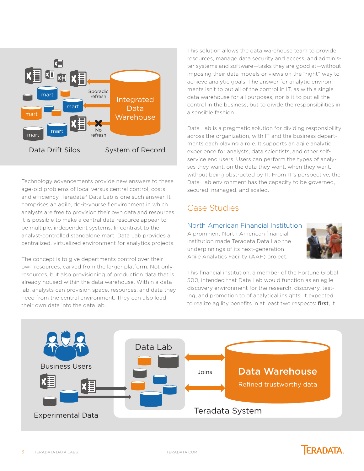<span id="page-2-0"></span>

Technology advancements provide new answers to these age-old problems of local versus central control, costs, and efficiency. Teradata® Data Lab is one such answer. It comprises an agile, do-it-yourself environment in which analysts are free to provision their own data and resources. It is possible to make a central data resource appear to be multiple, independent systems. In contrast to the analyst-controlled standalone mart, Data Lab provides a centralized, virtualized environment for analytics projects.

The concept is to give departments control over their own resources, carved from the larger platform. Not only resources, but also provisioning of production data that is already housed within the data warehouse. Within a data lab, analysts can provision space, resources, and data they need from the central environment. They can also load their own data into the data lab.

This solution allows the data warehouse team to provide resources, manage data security and access, and administer systems and software—tasks they are good at—without imposing their data models or views on the "right" way to achieve analytic goals. The answer for analytic environments isn't to put all of the control in IT, as with a single data warehouse for all purposes, nor is it to put all the control in the business, but to divide the responsibilities in a sensible fashion.

Data Lab is a pragmatic solution for dividing responsibility across the organization, with IT and the business departments each playing a role. It supports an agile analytic experience for analysts, data scientists, and other selfservice end users. Users can perform the types of analyses they want, on the data they want, when they want, without being obstructed by IT. From IT's perspective, the Data Lab environment has the capacity to be governed, secured, managed, and scaled.

# Case Studies

### North American Financial Institution

A prominent North American financial institution made Teradata Data Lab the underpinnings of its next-generation Agile Analytics Facility (AAF) project.



This financial institution, a member of the Fortune Global 500, intended that Data Lab would function as an agile discovery environment for the research, discovery, testing, and promotion to of analytical insights. It expected to realize agility benefits in at least two respects: first, it

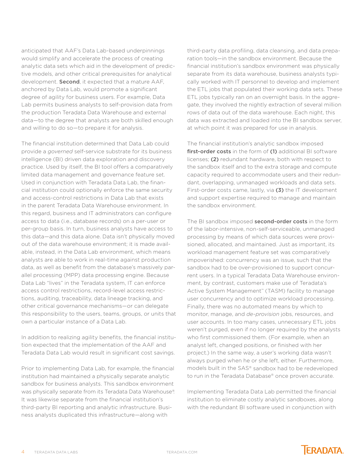anticipated that AAF's Data Lab-based underpinnings would simplify and accelerate the process of creating analytic data sets which aid in the development of predictive models, and other critical prerequisites for analytical development. **Second**, it expected that a mature AAF, anchored by Data Lab, would promote a significant degree of agility for business users. For example, Data Lab permits business analysts to self-provision data from the production Teradata Data Warehouse and external data—to the degree that analysts are both skilled enough and willing to do so—to prepare it for analysis.

The financial institution determined that Data Lab could provide a *governed* self-service substrate for its business intelligence (BI) driven data exploration and discovery practice. Used by itself, the BI tool offers a comparatively limited data management and governance feature set. Used in conjunction with Teradata Data Lab, the financial institution could optionally enforce the same security and access-control restrictions in Data Lab that exists in the parent Teradata Data Warehouse environment. In this regard, business and IT administrators can configure access to data (i.e., database records) on a per-user or per-group basis. In turn, business analysts have access to this data—and this data alone. Data isn't physically moved out of the data warehouse environment; it is made available, instead, in the Data Lab environment, which means analysts are able to work in real-time against production data, as well as benefit from the database's massively parallel processing (MPP) data processing engine. Because Data Lab "lives" in the Teradata system, IT can enforce access control restrictions, record-level access restrictions, auditing, traceability, data lineage tracking, and other critical governance mechanisms—or can delegate this responsibility to the users, teams, groups, or units that own a particular instance of a Data Lab.

In addition to realizing agility benefits, the financial institution expected that the implementation of the AAF and Teradata Data Lab would result in significant cost savings.

Prior to implementing Data Lab, for example, the financial institution had maintained a physically separate analytic sandbox for business analysts. This sandbox environment was physically separate from its Teradata Data Warehouse®. It was likewise separate from the financial institution's third-party BI reporting and analytic infrastructure. Business analysts duplicated this infrastructure—along with

third-party data profiling, data cleansing, and data preparation tools—in the sandbox environment. Because the financial institution's sandbox environment was physically separate from its data warehouse, business analysts typically worked with IT personnel to develop and implement the ETL jobs that populated their working data sets. These ETL jobs typically ran on an overnight basis. In the aggregate, they involved the nightly extraction of several million rows of data out of the data warehouse. Each night, this data was extracted and loaded into the BI sandbox server, at which point it was prepared for use in analysis.

The financial institution's analytic sandbox imposed first-order costs in the form of (1) additional BI software licenses; (2) redundant hardware, both with respect to the sandbox itself and to the extra storage and compute capacity required to accommodate users and their redundant, overlapping, unmanaged workloads and data sets. First-order costs came, lastly, via (3) the IT development and support expertise required to manage and maintain the sandbox environment.

The BI sandbox imposed **second-order costs** in the form of the labor-intensive, non-self-serviceable, unmanaged processing by means of which data sources were provisioned, allocated, and maintained. Just as important, its workload management feature set was comparatively impoverished: concurrency was an issue, such that the sandbox had to be over-provisioned to support concurrent users. In a typical Teradata Data Warehouse environment, by contrast, customers make use of Teradata's Active System Management™ (TASM) facility to manage user concurrency and to optimize workload processing. Finally, there was no automated means by which to monitor, manage, and *de-provision* jobs, resources, and user accounts. In too many cases, unnecessary ETL jobs weren't purged, even if no longer required by the analysts who first commissioned them. (For example, when an analyst left, changed positions, or finished with her project.) In the same way, a user's working data wasn't always purged when he or she left, either. Furthermore, models built in the SAS® sandbox had to be redeveloped to run in the Teradata Database® once proven accurate.

Implementing Teradata Data Lab permitted the financial institution to eliminate costly analytic sandboxes, along with the redundant BI software used in conjunction with

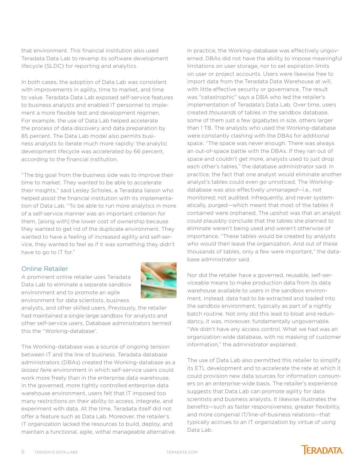that environment. This financial institution also used Teradata Data Lab to revamp its software development lifecycle (SLDC) for reporting and analytics.

In both cases, the adoption of Data Lab was consistent with improvements in agility, time to market, and time to value. Teradata Data Lab exposed self-service features to business analysts and enabled IT personnel to implement a more flexible test and development regimen. For example, the use of Data Lab helped accelerate the process of data discovery and data preparation by 85 percent. The Data Lab model also permits business analysts to iterate much more rapidly: the analytic development lifecycle was accelerated by 66 percent, according to the financial institution.

"The big goal from the business side was to improve their time to market. They wanted to be able to accelerate their insights," said Lesley Scholes, a Teradata liaison who helped assist the financial institution with its implementation of Data Lab. "To be able to run more analytics in more of a self-service manner was an important criterion for them, [along with] the lower cost of ownership because they wanted to get rid of the duplicate environment. They wanted to have a feeling of increased agility and self-service, they wanted to feel as if it was something they didn't have to go to IT for."

### Online Retailer

A prominent online retailer uses Teradata Data Lab to eliminate a separate sandbox environment and to promote an agile environment for data scientists, business



analysts, and other skilled users. Previously, the retailer had maintained a single large sandbox for analysts and other self-service users. Database administrators termed this the "Working-database".

The Working-database was a source of ongoing tension between IT and the line of business. Teradata database administrators (DBAs) created the Working-database as a *laissez faire* environment in which self-service users could work more freely than in the enterprise data warehouse. In the governed, more tightly controlled enterprise data warehouse environment, users felt that IT imposed too many restrictions on their ability to access, integrate, and experiment with data. At the time, Teradata itself did not offer a feature such as Data Lab. Moreover, the retailer's IT organization lacked the resources to build, deploy, and maintain a functional, agile, withal manageable alternative. In practice, the Working-database was effectively ungoverned. DBAs did not have the ability to impose meaningful limitations on user storage, nor to set expiration limits on user or project accounts. Users were likewise free to import data from the Teradata Data Warehouse at will, with little effective security or governance. The result was "catastrophic" says a DBA who led the retailer's implementation of Teradata's Data Lab. Over time, users created *thousands* of tables in the sandbox database, some of them just a few gigabytes in size, others larger than 1 TB. The analysts who used the Working-database were constantly clashing with the DBAs for additional space. "The space was never enough. There was always an out-of-space battle with the DBAs. If they ran out of space and couldn't get more, analysts used to just drop each other's tables," the database administrator said. In practice, the fact that one analyst would eliminate another analyst's tables could even go unnoticed. The Workingdatabase was also effectively *unmanaged*—i.e., not monitored; not audited; infrequently, and never systematically, purged—which meant that most of the tables it contained were orphaned. The upshot was that an analyst could plausibly conclude that the tables she planned to eliminate weren't being used and weren't otherwise of importance. "These tables would be created by analysts who would then leave the organization. And out of these thousands of tables, only a few were important," the database administrator said.

Nor did the retailer have a governed, reusable, self-serviceable means to make production data from its data warehouse available to users in the sandbox environment. Instead, data had to be extracted and loaded into the sandbox environment, typically as part of a nightly batch routine. Not only did this lead to bloat and redundancy, it was, moreover, fundamentally ungovernable. "We didn't have any access control. What we had was an organization-wide database, with no masking of customer information," the administrator explained.

The use of Data Lab also permitted this retailer to simplify its ETL development and to accelerate the rate at which it could provision new data sources for information consumers on an enterprise-wide basis. The retailer's experience suggests that Data Lab can promote agility for data scientists and business analysts. It likewise illustrates the benefits—such as faster responsiveness, greater flexibility, and more congenial IT/line-of-business relations—that typically accrues to an IT organization by virtue of using Data Lab.

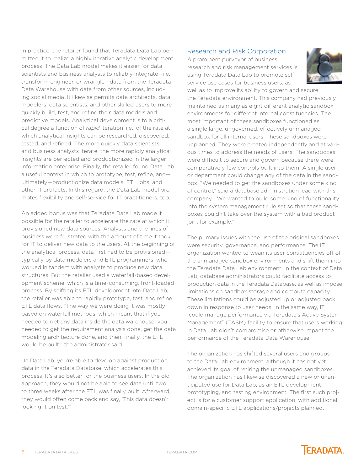In practice, the retailer found that Teradata Data Lab permitted it to realize a highly iterative analytic development process. The Data Lab model makes it easier for data scientists and business analysts to reliably integrate—i.e., transform, engineer, or wrangle—data from the Teradata Data Warehouse with data from other sources, including social media. It likewise permits data architects, data modelers, data scientists, and other skilled users to more quickly build, test, and refine their data models and predictive models. Analytical development is to a critical degree a function of *rapid* iteration: i.e., of the rate at which analytical insights can be researched, discovered, tested, and refined. The more quickly data scientists and business analysts iterate, the more rapidly analytical insights are perfected and productionized in the larger information enterprise. Finally, the retailer found Data Lab a useful context in which to prototype, test, refine, and ultimately—productionize data models, ETL jobs, and other IT artifacts. In this regard, the Data Lab model promotes flexibility and self-service for IT practitioners, too.

An added bonus was that Teradata Data Lab made it possible for the retailer to accelerate the rate at which it provisioned new data sources. Analysts and the lines of business were frustrated with the amount of time it took for IT to deliver new data to the users. At the beginning of the analytical process, data first had to be provisioned typically by data modelers and ETL programmers, who worked in tandem with analysts to produce new data structures. But the retailer used a waterfall-based development scheme, which is a time-consuming, front-loaded process. By shifting its ETL development into Data Lab, the retailer was able to rapidly prototype, test, and refine ETL data flows. "The way we were doing it was mostly based on waterfall methods, which meant that if you needed to get any data inside the data warehouse, you needed to get the requirement analysis done, get the data modeling architecture done, and then, finally, the ETL would be built," the administrator said.

"In Data Lab, you're able to develop against production data in the Teradata Database, which accelerates this process. It's also better for the business users. In the old approach, they would not be able to see data until two to three weeks after the ETL was finally built. Afterward, they would often come back and say, 'This data doesn't look right on test.'"

#### Research and Risk Corporation

A prominent purveyor of business research and risk management services is using Teradata Data Lab to promote selfservice use cases for business users, as



well as to improve its ability to govern and secure the Teradata environment. This company had previously maintained as many as eight different analytic sandbox environments for different internal constituencies. The most important of these sandboxes functioned as a single large, ungoverned, effectively unmanaged sandbox for all internal users. These sandboxes were unplanned. They were created independently and at various times to address the needs of users. The sandboxes were difficult to secure and govern because there were comparatively few controls built into them. A single user or department could change any of the data in the sandbox. "We needed to get the sandboxes under some kind of control," said a database administration lead with this company. "We wanted to build some kind of functionality into the system management rule set so that these sandboxes couldn't take over the system with a bad product join, for example."

The primary issues with the use of the original sandboxes were security, governance, and performance. The IT organization wanted to wean its user constituencies off of the unmanaged sandbox environments and shift them into the Teradata Data Lab environment. In the context of Data Lab, database administrators could facilitate access to production data in the Teradata Database, as well as impose limitations on sandbox storage and compute capacity. These limitations could be adjusted up or adjusted back down in response to user needs. In the same way, IT could manage performance via Teradata's Active System Management<sup>™</sup> (TASM) facility to ensure that users working in Data Lab didn't compromise or otherwise impact the performance of the Teradata Data Warehouse.

The organization has shifted several users and groups to the Data Lab environment, although it has not yet achieved its goal of retiring the unmanaged sandboxes. The organization has likewise discovered a new or unanticipated use for Data Lab, as an ETL development, prototyping, and testing environment. The first such project is for a customer support application, with additional domain-specific ETL applications/projects planned.

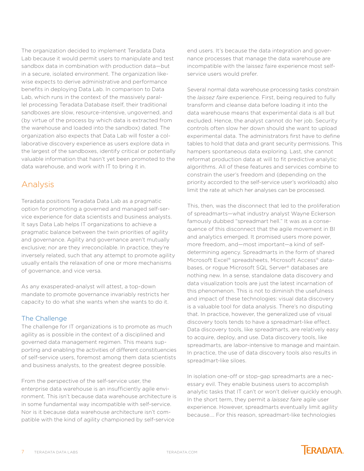<span id="page-6-0"></span>The organization decided to implement Teradata Data Lab because it would permit users to manipulate and test sandbox data in combination with production data—but in a secure, isolated environment. The organization likewise expects to derive administrative and performance benefits in deploying Data Lab. In comparison to Data Lab, which runs in the context of the massively parallel processing Teradata Database itself, their traditional sandboxes are slow, resource-intensive, ungoverned, and (by virtue of the process by which data is extracted from the warehouse and loaded into the sandbox) dated. The organization also expects that Data Lab will foster a collaborative discovery experience as users explore data in the largest of the sandboxes, identify critical or potentially valuable information that hasn't yet been promoted to the data warehouse, and work with IT to bring it in.

# Analysis

Teradata positions Teradata Data Lab as a pragmatic option for promoting a governed and managed self-service experience for data scientists and business analysts. It says Data Lab helps IT organizations to achieve a pragmatic balance between the twin priorities of agility and governance. Agility and governance aren't mutually exclusive; nor are they irreconcilable. In practice, they're inversely related, such that any attempt to promote agility usually entails the relaxation of one or more mechanisms of governance, and vice versa.

As any exasperated-analyst will attest, a top-down mandate to promote governance invariably restricts her capacity to do what she wants when she wants to do it.

### The Challenge

The challenge for IT organizations is to promote as much agility as is possible in the context of a disciplined and governed data management regimen. This means supporting and enabling the activities of different constituencies of self-service users, foremost among them data scientists and business analysts, to the greatest degree possible.

From the perspective of the self-service user, the enterprise data warehouse is an insufficiently agile environment. This isn't because data warehouse architecture is in some fundamental way incompatible with self-service. Nor is it because data warehouse architecture isn't compatible with the kind of agility championed by self-service

end users. It's because the data integration and governance processes that manage the data warehouse are incompatible with the laissez faire experience most selfservice users would prefer.

Several normal data warehouse processing tasks constrain the *laissez faire* experience. First, being required to fully transform and cleanse data before loading it into the data warehouse means that experimental data is all but excluded. Hence, the analyst cannot do her job. Security controls often slow her down should she want to upload experimental data. The administrators first have to define tables to hold that data and grant security permissions. This hampers spontaneous data exploring. Last, she cannot reformat production data at will to fit predictive analytic algorithms. All of these features and services combine to constrain the user's freedom and (depending on the priority accorded to the self-service user's workloads) also limit the rate at which her analyses can be processed.

This, then, was the disconnect that led to the proliferation of spreadmarts—what industry analyst Wayne Eckerson famously dubbed "spreadmart hell." It was as a consequence of this disconnect that the agile movement in BI and analytics emerged. It promised users more power, more freedom, and—most important—a kind of selfdetermining agency. Spreadmarts in the form of shared Microsoft Excel® spreadsheets, Microsoft Access® databases, or rogue Microsoft SQL Server® databases are nothing new. In a sense, standalone data discovery and data visualization tools are just the latest incarnation of this phenomenon. This is not to diminish the usefulness and impact of these technologies: visual data discovery is a valuable tool for data analysis. There's no disputing that. In practice, however, the generalized use of visual discovery tools tends to have a spreadmart-like effect. Data discovery tools, like spreadmarts, are relatively easy to acquire, deploy, and use. Data discovery tools, like spreadmarts, are labor-intensive to manage and maintain. In practice, the use of data discovery tools also results in spreadmart-like siloes.

In isolation one-off or stop-gap spreadmarts are a necessary evil. They enable business users to accomplish analytic tasks that IT can't or won't deliver quickly enough. In the short term, they permit a *laissez faire* agile user experience. However, spreadmarts eventually limit agility because…. For this reason, spreadmart-like technologies

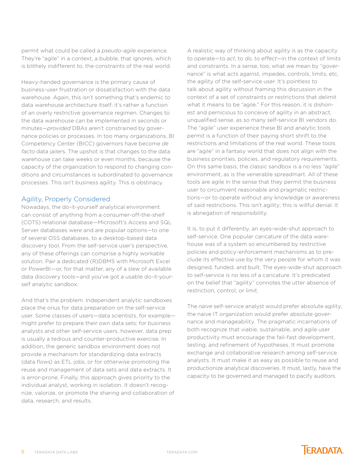permit what could be called a *pseudo-agile* experience. They're "agile" in a context, a bubble, that ignores, which is blithely indifferent to, the constraints of the real world.

Heavy-handed governance is the primary cause of business-user frustration or dissatisfaction with the data warehouse. Again, this isn't something that's endemic to data warehouse architecture itself; it's rather a function of an overly restrictive governance regimen. Changes to the data warehouse can be implemented in seconds or minutes—*provided* DBAs aren't constrained by governance policies or processes. In too many organizations, BI Competency Center (BICC) governors have become *de facto* data jailers. The upshot is that changes to the data warehouse can take weeks or even months, because the capacity of the organization to respond to changing conditions and circumstances is subordinated to governance processes. This isn't business agility. This is obstinacy.

### Agility, Properly Considered

Nowadays, the do-it-yourself analytical environment can consist of anything from a consumer-off-the-shelf (COTS) relational database—Microsoft's Access and SQL Server databases were and are popular options—to one of several OSS databases, to a desktop-based data discovery tool. From the self-service user's perspective, any of these offerings can comprise a highly workable solution. Pair a dedicated (R)DBMS with Microsoft Excel or PowerBI—or, for that matter, any of a slew of available data discovery tools—and you've got a usable do-it-yourself analytic sandbox.

And that's the problem. Independent analytic sandboxes place the onus for data preparation on the self-service user. Some classes of users—data scientists, for example might prefer to prepare their own data sets; for business analysts and other self-service users, however, data prep is usually a tedious and counter-productive exercise. In addition, the generic sandbox environment does not provide a mechanism for standardizing data extracts (data flows) as ETL jobs, or for otherwise promoting the reuse and management of data sets and data extracts. It is error-prone. Finally, this approach gives priority to the individual analyst, working in isolation. It doesn't recognize, valorize, or promote the sharing and collaboration of data, research, and results.

A realistic way of thinking about agility is as the capacity to operate—to *act*, to *do*, to *effect*—in the context of limits and constraints. In a sense, too, what we mean by "governance" is what acts against, impedes, controls, limits, etc, the agility of the self-service user. It's pointless to talk about agility without framing this discussion in the context of a set of constraints or restrictions that delimit what it means to be "agile." For this reason, it is dishonest and pernicious to conceive of agility in an abstract, unqualified sense, as so many self-service BI vendors do. The "agile" user experience these BI and analytic tools permit is a function of their paying short shrift to the restrictions and limitations of the real world. These tools are "agile" in a fantasy world that does not align with the business priorities, policies, and regulatory requirements. On this same basis, the classic sandbox is a no less "agile" environment, as is the venerable spreadmart. All of these tools are agile in the sense that they permit the business user to circumvent reasonable and pragmatic restrictions—or to operate without any knowledge or awareness of said restrictions. This isn't agility; this is willful denial. It is abnegation of responsibility.

It is, to put it differently, an eyes-wide-shut approach to self-service. One popular caricature of the data warehouse was of a system so encumbered by restrictive policies and policy-enforcement mechanisms as to preclude its effective use by the very people for whom it was designed, funded, and built. The eyes-wide-shut approach to self-service is no less of a caricature. It's predicated on the belief that "agility" connotes the utter absence of restriction, control, or limit.

The *naive* self-service analyst would prefer absolute agility; the naive IT organization would prefer absolute governance and manageability. The pragmatic incarnations of both recognize that viable, sustainable, and agile user productivity must encourage the fail-fast development, testing, and refinement of hypotheses. It must promote exchange and collaborative research among self-service analysts. It must make it as easy as possible to reuse and productionize analytical discoveries. It must, lastly, have the capacity to be governed and managed to pacify auditors.

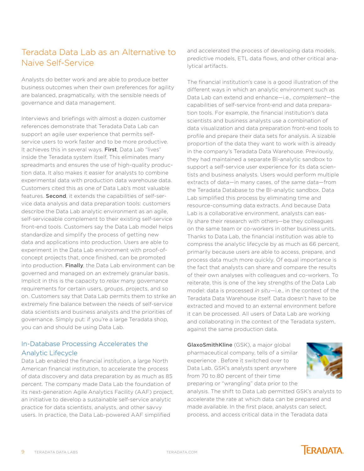# <span id="page-8-0"></span>Teradata Data Lab as an Alternative to Naive Self-Service

Analysts do better work and are able to produce better business outcomes when their own preferences for agility are balanced, pragmatically, with the sensible needs of governance and data management.

Interviews and briefings with almost a dozen customer references demonstrate that Teradata Data Lab can support an agile user experience that permits selfservice users to work faster and to be more productive. It achieves this in several ways. First, Data Lab "lives" inside the Teradata system itself. This eliminates many spreadmarts and ensures the use of high-quality production data. It also makes it easier for analysts to combine experimental data with production data warehouse data. Customers cited this as one of Data Lab's most valuable features. Second, it extends the capabilities of self-service data analysis and data preparation tools: customers describe the Data Lab analytic environment as an agile, self-serviceable complement to their existing self-service front-end tools. Customers say the Data Lab model helps standardize and simplify the process of getting new data and applications into production. Users are able to experiment in the Data Lab environment with proof-ofconcept projects that, once finished, can be promoted into production. Finally, the Data Lab environment can be governed and managed on an extremely granular basis. Implicit in this is the capacity to *relax* many governance requirements for certain users, groups, projects, and so on. Customers say that Data Lab permits them to strike an extremely fine balance between the needs of self-service data scientists and business analysts and the priorities of governance. Simply put: if you're a large Teradata shop, you can and should be using Data Lab.

### In-Database Processing Accelerates the Analytic Lifecycle

Data Lab enabled the financial institution, a large North American financial institution, to accelerate the process of data discovery and data preparation by as much as 85 percent. The company made Data Lab the foundation of its next-generation Agile Analytics Facility (AAF) project, an initiative to develop a sustainable self-service analytic practice for data scientists, analysts, and other savvy users. In practice, the Data Lab-powered AAF simplified

and accelerated the process of developing data models, predictive models, ETL data flows, and other critical analytical artifacts.

The financial institution's case is a good illustration of the different ways in which an analytic environment such as Data Lab can extend and enhance—i.e., *complement*—the capabilities of self-service front-end and data preparation tools. For example, the financial institution's data scientists and business analysts use a combination of data visualization and data preparation front-end tools to profile and prepare their data sets for analysis. A sizable proportion of the data they want to work with is already in the company's Teradata Data Warehouse. Previously, they had maintained a separate BI-analytic sandbox to support a self-service user experience for its data scientists and business analysts. Users would perform multiple extracts of data—in many cases, of the *same* data—from the Teradata Database to the BI-analytic sandbox. Data Lab simplified this process by eliminating time and resource-consuming data extracts. And because Data Lab is a collaborative environment, analysts can easily share their research with others—be they colleagues on the same team or co-workers in other business units. Thanks to Data Lab, the financial institution was able to compress the analytic lifecycle by as much as 66 percent, primarily because users are able to access, prepare, and process data much more quickly. Of equal importance is the fact that analysts can share and compare the results of their own analyses with colleagues and co-workers. To reiterate, this is one of the key strengths of the Data Lab model: data is processed *in situ*—i.e., in the context of the Teradata Data Warehouse itself. Data doesn't have to be extracted and moved to an external environment before it can be processed. All users of Data Lab are working and collaborating in the context of the Teradata system, against the same production data.

GlaxoSmithKline (GSK), a major global pharmaceutical company, tells of a similar experience . Before it switched over to Data Lab, GSK's analysts spent anywhere from 70 to 80 percent of their time preparing or "wrangling" data prior to the



analysis. The shift to Data Lab permitted GSK's analysts to accelerate the rate at which data can be prepared and made available. In the first place, analysts can select, process, and access critical data in the Teradata data

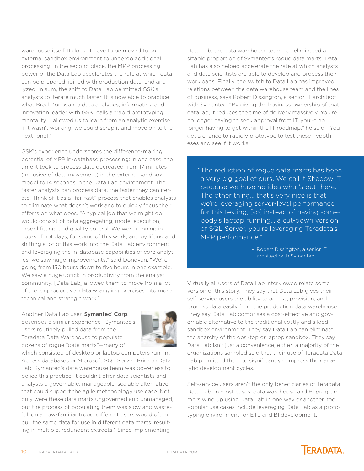warehouse itself. It doesn't have to be moved to an external sandbox environment to undergo additional processing. In the second place, the MPP processing power of the Data Lab accelerates the rate at which data can be prepared, joined with production data, and analyzed. In sum, the shift to Data Lab permitted GSK's analysts to iterate much faster. It is now able to practice what Brad Donovan, a data analytics, informatics, and innovation leader with GSK, calls a "rapid prototyping mentality … allowed us to learn from an analytic exercise. If it wasn't working, we could scrap it and move on to the next [one]."

GSK's experience underscores the difference-making potential of MPP in-database processing: in one case, the time it took to process data decreased from 17 minutes (inclusive of data movement) in the external sandbox model to 14 seconds in the Data Lab environment. The faster analysts can process data, the faster they can iterate. Think of it as a "fail fast" process that enables analysts to eliminate what doesn't work and to quickly focus their efforts on what does. "A typical job that we might do would consist of data aggregating, model execution, model fitting, and quality control. We were running in hours, if not days, for some of this work, and by lifting and shifting a lot of this work into the Data Lab environment and leveraging the in-database capabilities of core analytics, we saw huge improvements," said Donovan. "We're going from 130 hours down to five hours in one example. We saw a huge uptick in productivity from the analyst community. [Data Lab] allowed them to move from a lot of the [unproductive] data wrangling exercises into more technical and strategic work."

Another Data Lab user, Symantec<sup>®</sup> Corp., describes a similar experience . Symantec's users routinely pulled data from the Teradata Data Warehouse to populate dozens of rogue "data marts"—many of



which consisted of desktop or laptop computers running Access databases or Microsoft SQL Server. Prior to Data Lab, Symantec's data warehouse team was powerless to police this practice: it couldn't offer data scientists and analysts a governable, manageable, scalable alternative that could support the agile methodology use case. Not only were these data marts ungoverned and unmanaged, but the process of populating them was slow and wasteful. (In a now-familiar trope, different users would often pull the same data for use in different data marts, resulting in multiple, redundant extracts.) Since implementing

Data Lab, the data warehouse team has eliminated a sizable proportion of Symantec's rogue data marts. Data Lab has also helped accelerate the rate at which analysts and data scientists are able to develop and process their workloads. Finally, the switch to Data Lab has improved relations between the data warehouse team and the lines of business, says Robert Dissington, a senior IT architect with Symantec. "By giving the business ownership of that data lab, it reduces the time of delivery massively. You're no longer having to seek approval from IT, you're no longer having to get within the IT roadmap," he said. "You get a chance to rapidly prototype to test these hypotheses and see if it works."

"The reduction of rogue data marts has been a very big goal of ours. We call it Shadow IT because we have no idea what's out there. The other thing… that's very nice is that we're leveraging server-level performance for this testing, [so] instead of having somebody's laptop running… a cut-down version of SQL Server, you're leveraging Teradata's MPP performance."

> – Robert Dissington, a senior IT architect with Symantec

Virtually all users of Data Lab interviewed relate some version of this story. They say that Data Lab gives their self-service users the ability to access, provision, and process data easily from the production data warehouse. They say Data Lab comprises a cost-effective and governable alternative to the traditional costly and siloed sandbox environment. They say Data Lab can eliminate the anarchy of the desktop or laptop sandbox. They say Data Lab isn't just a convenience, either: a majority of the organizations sampled said that their use of Teradata Data Lab permitted them to significantly compress their analytic development cycles.

Self-service users aren't the only beneficiaries of Teradata Data Lab. In most cases, data warehouse and BI programmers wind up using Data Lab in one way or another, too. Popular use cases include leveraging Data Lab as a prototyping environment for ETL and BI development.

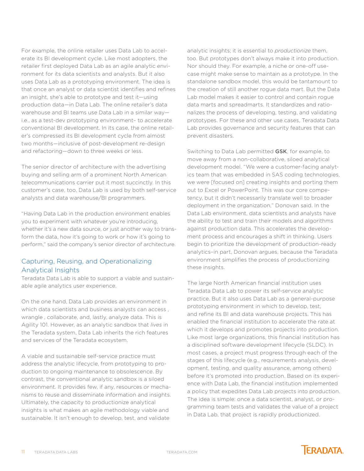For example, the online retailer uses Data Lab to accelerate its BI development cycle. Like most adopters, the retailer first deployed Data Lab as an agile analytic environment for its data scientists and analysts. But it also uses Data Lab as a prototyping environment. The idea is that once an analyst or data scientist identifies and refines an insight, she's able to prototype and test it—using production data—in Data Lab. The online retailer's data warehouse and BI teams use Data Lab in a similar way i.e., as a test-dev prototyping environment– to accelerate conventional BI development. In its case, the online retailer's compressed its BI development cycle from almost two months—inclusive of post-development re-design and refactoring—down to three weeks or less.

The senior director of architecture with the advertising buying and selling arm of a prominent North American telecommunications carrier put it most succinctly. In this customer's case, too, Data Lab is used by both self-service analysts and data warehouse/BI programmers.

"Having Data Lab in the production environment enables you to experiment with whatever you're introducing, whether it's a new data source, or just another way to transform the data, how it's going to work or how it's going to perform," said the company's senior director of architecture.

### Capturing, Reusing, and Operationalizing Analytical Insights

Teradata Data Lab is able to support a viable and sustainable agile analytics user experience.

On the one hand, Data Lab provides an environment in which data scientists and business analysts can access. wrangle , collaborate, and, lastly, analyze data. This is Agility 101. However, as an analytic sandbox that *lives* in the Teradata system, Data Lab inherits the rich features and services of the Teradata ecosystem.

A viable and sustainable self-service practice must address the analytic lifecycle, from prototyping to production to ongoing maintenance to obsolescence. By contrast, the conventional analytic sandbox is a siloed environment. It provides few, if any, resources or mechanisms to reuse and disseminate information and insights. Ultimately, the capacity to productionize analytical insights is what makes an agile methodology viable and sustainable. It isn't enough to develop, test, and validate

analytic insights; it is essential to *productionize* them, too. But prototypes don't always make it into production. Nor should they. For example, a niche or one-off usecase might make sense to maintain as a prototype. In the standalone sandbox model, this would be tantamount to the creation of still another rogue data mart. But the Data Lab model makes it easier to control and contain rogue data marts and spreadmarts. It standardizes and rationalizes the process of developing, testing, and validating prototypes. For these and other use cases, Teradata Data Lab provides governance and security features that can prevent disasters.

Switching to Data Lab permitted GSK, for example, to move away from a non-collaborative, siloed analytical development model. "We were a customer-facing analytics team that was embedded in SAS coding technologies, we were [focused on] creating insights and porting them out to Excel or PowerPoint. This was our core competency, but it didn't necessarily translate well to broader deployment in the organization," Donovan said. In the Data Lab environment, data scientists and analysts have the ability to test and train their models and algorithms against production data. This accelerates the development process and encourages a shift in thinking. Users begin to prioritize the development of production-ready analytics–in part, Donovan argues, because the Teradata environment simplifies the process of productionizing these insights.

The large North American financial institution uses Teradata Data Lab to power its self-service analytic practice. But it also uses Data Lab as a general-purpose prototyping environment in which to develop, test, and refine its BI and data warehouse projects. This has enabled the financial institution to accelerate the rate at which it develops and promotes projects into production. Like most large organizations, this financial institution has a disciplined software development lifecycle (SLDC). In most cases, a project must progress through each of the stages of this lifecycle (e.g., requirements analysis, development, testing, and quality assurance, among others) before it's promoted into production. Based on its experience with Data Lab, the financial institution implemented a policy that expedites Data Lab projects into production. The idea is simple: once a data scientist, analyst, or programming team tests and validates the value of a project in Data Lab, that project is rapidly productionized.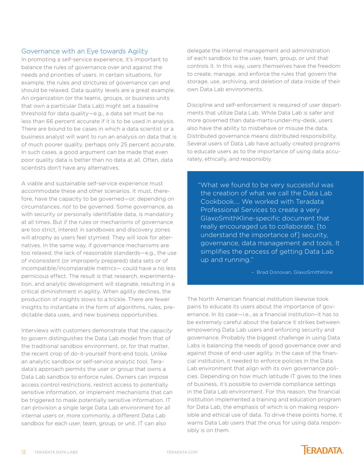### Governance with an Eye towards Agility

In promoting a self-service experience, it's important to balance the rules of governance over and against the needs and priorities of users. In certain situations, for example, the rules and strictures of governance can and should be relaxed. Data quality levels are a great example. An organization (or the teams, groups, or business units that own a particular Data Lab) might set a baseline threshold for data quality—e.g., a data set must be no less than 66 percent accurate if it is to be used in analysis. There are bound to be cases in which a data scientist or a business analyst will want to run an analysis on data that is of much poorer quality, perhaps only 25 percent accurate. In such cases, a good argument can be made that even poor quality data is better than no data at all. Often, data scientists don't have any alternatives.

A viable and sustainable self-service experience must accommodate these and other scenarios. It must, therefore, have the capacity to be governed—or, depending on circumstances, *not* to be governed. Some governance, as with security or personally identifiable data, is mandatory at all times. But if the rules or mechanisms of governance are too strict, interest in sandboxes and discovery zones will atrophy as users feel stymied. They will look for alternatives. In the same way, if governance mechanisms are too relaxed, the lack of reasonable standards—e.g., the use of inconsistent (or improperly prepared) data sets or of incompatible/incomparable metrics— could have a no less pernicious effect. The result is that research, experimentation, and analytic development will stagnate, resulting in a critical diminishment in agility. When agility declines, the production of insights slows to a trickle. There are fewer insights to instantiate in the form of algorithms, rules, predictable data uses, and new business opportunities.

Interviews with customers demonstrate that the *capacity*  to govern distinguishes the Data Lab model from that of the traditional sandbox environment, or, for that matter, the recent crop of do-it-yourself front-end tools. Unlike an analytic sandbox or self-service analytic tool, Teradata's approach permits the user or group that owns a Data Lab sandbox to enforce rules. Owners can impose access control restrictions, restrict access to potentially sensitive information, or implement mechanisms that can be triggered to mask potentially sensitive information. IT can provision a single large Data Lab environment for all internal users or, more commonly, a different Data Lab sandbox for each user, team, group, or unit. IT can also

delegate the internal management and administration of each sandbox to the user, team, group, or unit that controls it. In this way, *users themselves* have the freedom to create, manage, and enforce the rules that govern the storage, use, archiving, and deletion of data inside of their own Data Lab environments.

Discipline and self-enforcement is required of user departments that utilize Data Lab. While Data Lab is safer and more governed than data-marts-under-my-desk, users also have the ability to misbehave or misuse the data. Distributed governance means distributed responsibility. Several users of Data Lab have actually created programs to educate users as to the importance of using data accurately, ethically, and responsibly.

"What we found to be very successful was the creation of what we call the Data Lab Cookbook…. We worked with Teradata Professional Services to create a very GlaxoSmithKline-specific document that really encouraged us to collaborate, [to understand the importance of] security, governance, data management and tools. It simplifies the process of getting Data Lab up and running."

– Brad Donovan, GlaxoSmithKline

The North American financial institution likewise took pains to educate its users about the importance of governance. In its case—i.e., as a financial institution–it has to be extremely careful about the balance it strikes between empowering Data Lab users and enforcing security and governance. Probably the biggest challenge in using Data Labs is balancing the needs of good governance over and against those of end-user agility. In the case of the financial institution, it needed to enforce policies in the Data Lab environment that align with its own governance policies. Depending on how much latitude IT gives to the lines of business, it's possible to override compliance settings in the Data Lab environment. For this reason, the financial institution implemented a training and education program for Data Lab, the emphasis of which is on making responsible and ethical use of data. To drive these points home, it warns Data Lab users that the onus for using data responsibly is on them.

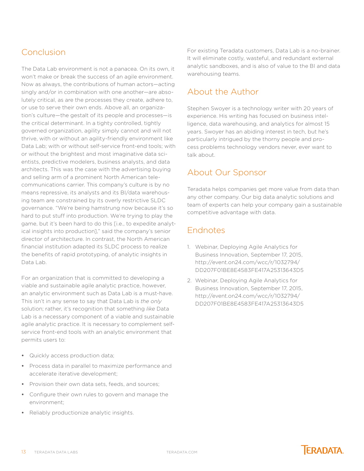# <span id="page-12-0"></span>Conclusion

The Data Lab environment is not a panacea. On its own, it won't make or break the success of an agile environment. Now as always, the contributions of human actors—acting singly and/or in combination with one another—are absolutely critical, as are the processes they create, adhere to, or use to serve their own ends. Above all, an organization's culture—the gestalt of its people and processes—is the critical determinant. In a tighty controlled, tightly governed organization, agility simply cannot and will not thrive, with or without an agility-friendly environment like Data Lab; with or without self-service front-end tools; with or without the brightest and most imaginative data scientists, predictive modelers, business analysts, and data architects. This was the case with the advertising buying and selling arm of a prominent North American telecommunications carrier. This company's culture is by no means repressive, its analysts and its BI/data warehousing team are constrained by its overly restrictive SLDC governance. "We're being hamstrung now because it's so hard to put stuff into production. We're trying to play the game, but it's been hard to do this [i.e., to expedite analytical insights into production]," said the company's senior director of architecture. In contrast, the North American financial institution adapted its SLDC process to realize the benefits of rapid prototyping, of analytic insights in Data Lab.

For an organization that is committed to developing a viable and sustainable agile analytic practice, however, an analytic environment such as Data Lab is a must-have. This isn't in any sense to say that Data Lab is *the only*  solution; rather, it's recognition that something *like* Data Lab is a necessary component of a viable and sustainable agile analytic practice. It is necessary to complement selfservice front-end tools with an analytic environment that permits users to:

- **•** Quickly access production data;
- **•** Process data in parallel to maximize performance and accelerate iterative development;
- **•** Provision their own data sets, feeds, and sources;
- **•** Configure their own rules to govern and manage the environment;
- **•** Reliably productionize analytic insights.

For existing Teradata customers, Data Lab is a no-brainer. It will eliminate costly, wasteful, and redundant external analytic sandboxes, and is also of value to the BI and data warehousing teams.

### About the Author

Stephen Swoyer is a technology writer with 20 years of experience. His writing has focused on business intelligence, data warehousing, and analytics for almost 15 years. Swoyer has an abiding interest in tech, but he's particularly intrigued by the thorny people and process problems technology vendors never, ever want to talk about.

# About Our Sponsor

Teradata helps companies get more value from data than any other company. Our big data analytic solutions and team of experts can help your company gain a sustainable competitive advantage with data.

# Endnotes

- 1. Webinar, Deploying Agile Analytics for Business Innovation, September 17, 2015, [http://event.on24.com/wcc/r/1032794/](http://event.on24.com/wcc/r/1032794/DD207F01BE8E4583FE417A25313643D5) [DD207F01BE8E4583FE417A25313643D5](http://event.on24.com/wcc/r/1032794/DD207F01BE8E4583FE417A25313643D5)
- 2. Webinar, Deploying Agile Analytics for Business Innovation, September 17, 2015, [http://event.on24.com/wcc/r/1032794/](http://event.on24.com/wcc/r/1032794/DD207F01BE8E4583FE417A25313643D5) [DD207F01BE8E4583FE417A25313643D5](http://event.on24.com/wcc/r/1032794/DD207F01BE8E4583FE417A25313643D5)